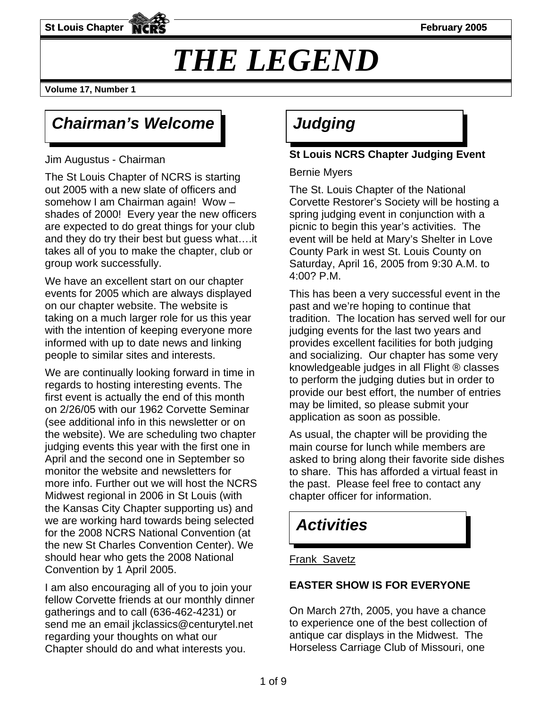**St Louis Chapter FIGURE 1998 St Louis Chapter February 2005** 

# *THE LEGEND*

**Volume 17, Number 1** 

### **Chairman's Welcome | Judging**

Jim Augustus - Chairman

The St Louis Chapter of NCRS is starting out 2005 with a new slate of officers and somehow I am Chairman again! Wow – shades of 2000! Every year the new officers are expected to do great things for your club and they do try their best but guess what….it takes all of you to make the chapter, club or group work successfully.

We have an excellent start on our chapter events for 2005 which are always displayed on our chapter website. The website is taking on a much larger role for us this year with the intention of keeping everyone more informed with up to date news and linking people to similar sites and interests.

We are continually looking forward in time in regards to hosting interesting events. The first event is actually the end of this month on 2/26/05 with our 1962 Corvette Seminar (see additional info in this newsletter or on the website). We are scheduling two chapter judging events this year with the first one in April and the second one in September so monitor the website and newsletters for more info. Further out we will host the NCRS Midwest regional in 2006 in St Louis (with the Kansas City Chapter supporting us) and we are working hard towards being selected for the 2008 NCRS National Convention (at the new St Charles Convention Center). We should hear who gets the 2008 National Convention by 1 April 2005.

I am also encouraging all of you to join your fellow Corvette friends at our monthly dinner gatherings and to call (636-462-4231) or send me an email jkclassics@centurytel.net regarding your thoughts on what our Chapter should do and what interests you.

### **St Louis NCRS Chapter Judging Event**

Bernie Myers

Corvette Restorer's Society will be hosting a spring judging event in conjunction with a The St. Louis Chapter of the National picnic to begin this year's activities. The event will be held at Mary's Shelter in Love County Park in west St. Louis County on Saturday, April 16, 2005 from 9:30 A.M. to 4:00? P.M.

This has been a very successful event in the past and we're hoping to continue that tradition. The location has served well for our judging events for the last two years and provides excellent facilities for both judging and socializing. Our chapter has some very knowledgeable judges in all Flight ® classes to perform the judging duties but in order to provide our best effort, the number of entries may be limited, so please submit your application as soon as possible.

As usual, the chapter will be providing the main course for lunch while members are asked to bring along their favorite side dishes to share. This has afforded a virtual feast in the past. Please feel free to contact any chapter officer for information.

### *Activities*

#### Frank Savetz

#### **EASTER SHOW IS FOR EVERYONE**

On March 27th, 2005, you have a chance to experience one of the best collection of antique car displays in the Midwest. The Horseless Carriage Club of Missouri, one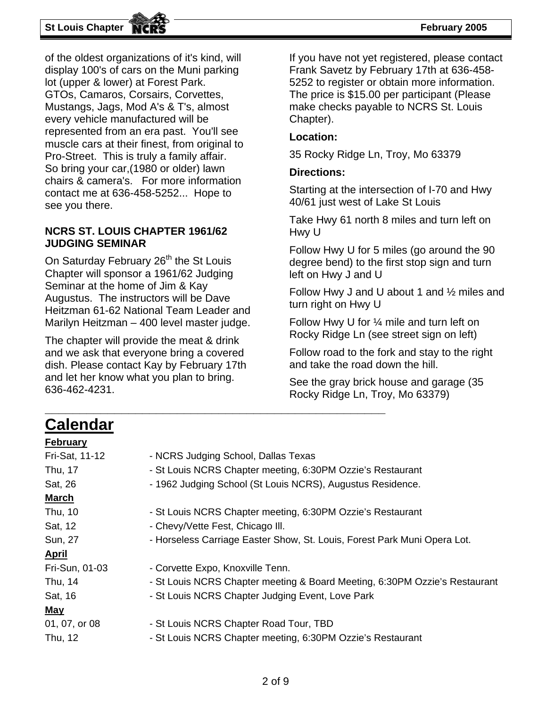#### **St Louis Chapter February 2005**

of the oldest organizations of it's kind, will display 100's of cars on the Muni parking lot (upper & lower) at Forest Park. GTOs, Camaros, Corsairs, Corvettes, Mustangs, Jags, Mod A's & T's, almost every vehicle manufactured will be represented from an era past. You'l l see muscle cars at their finest, from origina l to Pro-Street. This is truly a family affair. So bring your car,(1980 or older) lawn chairs & camera's. For more information contact me at 636-458-5252... Hope to see you there.

#### **NCRS ST. LOUIS CHAPTER 1961/62 JUDGING SEMINAR**

On Saturday February 26<sup>th</sup> the St Louis Augustus. The instructors will be Dave Heitzman 61-62 National Team Leader and Marilyn Heitzman – 400 level master judge. Chapter will sponsor a 1961/62 Judging Seminar at the home of Jim & Kay

The chapter will provide the meat & drink and we ask that everyone bring a covered dish. Please contact Kay by February 17th and let her know what you plan to bring. 636-462-4231.

**\_\_\_\_\_\_\_\_\_\_\_\_\_\_\_\_\_\_\_\_\_\_\_\_\_\_\_\_\_\_**

Frank Savetz by February 17th at 636-458-If you have not yet registered, please contact 5252 to register or obtain more information. The price is \$15.00 per participant (Please make checks payable to NCRS St. Louis Chapter).

#### **Location:**

35 Rocky Ridge Ln, Troy, Mo 63379

#### **Directions:**

Starting at the intersection of I-70 and Hwy 40/61 just west of Lake St Louis

Take Hwy 61 north 8 miles and turn left on Hwy U

degree bend) to the first stop sign and turn Follow Hwy U for 5 miles (go around the 90 left on Hwy J and U

Follow Hwy J and U about 1 and  $\frac{1}{2}$  miles and turn right on Hwy U

Rocky Ridge Ln (see street sign on left) Follow Hwy U for ¼ mile and turn left on

Follow road to the fork and stay to the right and take the road down the hill.

) Rocky Ridge Ln, Troy, Mo 63379 See the gray brick house and garage (35

**\_\_\_\_\_\_\_\_\_\_\_\_\_\_** 

| <b>Calendar</b> |                                                                            |
|-----------------|----------------------------------------------------------------------------|
| <b>February</b> |                                                                            |
| Fri-Sat, 11-12  | - NCRS Judging School, Dallas Texas                                        |
| Thu, 17         | - St Louis NCRS Chapter meeting, 6:30PM Ozzie's Restaurant                 |
| Sat, 26         | - 1962 Judging School (St Louis NCRS), Augustus Residence.                 |
| March           |                                                                            |
| Thu, 10         | - St Louis NCRS Chapter meeting, 6:30PM Ozzie's Restaurant                 |
| Sat, 12         | - Chevy/Vette Fest, Chicago III.                                           |
| Sun, 27         | - Horseless Carriage Easter Show, St. Louis, Forest Park Muni Opera Lot.   |
| <u>April</u>    |                                                                            |
| Fri-Sun, 01-03  | - Corvette Expo, Knoxville Tenn.                                           |
| Thu, 14         | - St Louis NCRS Chapter meeting & Board Meeting, 6:30PM Ozzie's Restaurant |
| Sat, 16         | - St Louis NCRS Chapter Judging Event, Love Park                           |
| <b>May</b>      |                                                                            |
| 01, 07, or 08   | - St Louis NCRS Chapter Road Tour, TBD                                     |
| Thu, 12         | - St Louis NCRS Chapter meeting, 6:30PM Ozzie's Restaurant                 |

**\_\_\_\_\_**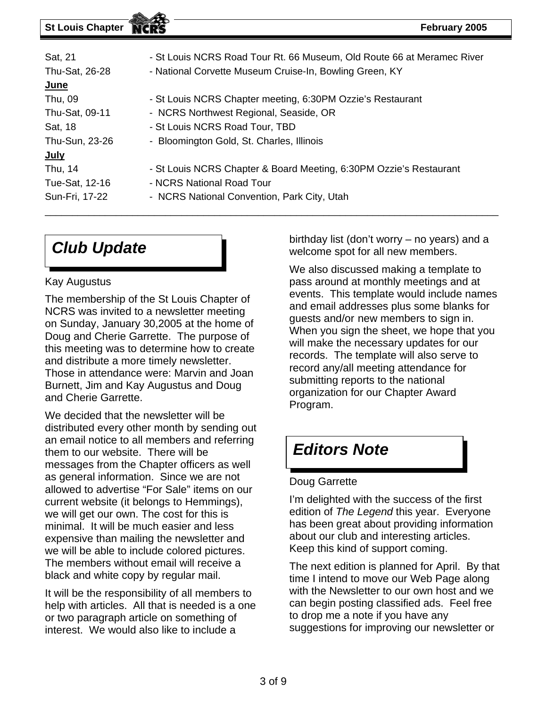| Sat, 21        | - St Louis NCRS Road Tour Rt. 66 Museum, Old Route 66 at Meramec River |  |  |  |  |  |  |
|----------------|------------------------------------------------------------------------|--|--|--|--|--|--|
| Thu-Sat, 26-28 | - National Corvette Museum Cruise-In, Bowling Green, KY                |  |  |  |  |  |  |
| <u>June</u>    |                                                                        |  |  |  |  |  |  |
| Thu, 09        | - St Louis NCRS Chapter meeting, 6:30PM Ozzie's Restaurant             |  |  |  |  |  |  |
| Thu-Sat, 09-11 | - NCRS Northwest Regional, Seaside, OR                                 |  |  |  |  |  |  |
| Sat, 18        | - St Louis NCRS Road Tour, TBD                                         |  |  |  |  |  |  |
| Thu-Sun, 23-26 | - Bloomington Gold, St. Charles, Illinois                              |  |  |  |  |  |  |
| <u>July</u>    |                                                                        |  |  |  |  |  |  |
| Thu, 14        | - St Louis NCRS Chapter & Board Meeting, 6:30PM Ozzie's Restaurant     |  |  |  |  |  |  |
| Tue-Sat, 12-16 | - NCRS National Road Tour                                              |  |  |  |  |  |  |
| Sun-Fri, 17-22 | - NCRS National Convention, Park City, Utah                            |  |  |  |  |  |  |

\_\_\_\_\_ \_\_\_\_\_\_\_\_\_\_\_\_\_\_\_\_\_\_\_\_\_\_\_\_\_\_\_\_\_\_\_\_\_\_\_\_\_\_\_\_

## *Club Update*

#### K ay Augustus

The membership of the St Louis Chapter of NCRS was invited to a newsletter meeting on Sunday, January 30,2005 at the home of Doug and Cherie Garrette. The purpose of this meeting was to determine how to create and distribute a more timely newsletter. Those in attendance were: Marvin and Joan Burnett, Jim and Kay Augustus and Doug and Cherie Garrette.

\_\_\_\_\_\_\_\_\_\_\_\_\_\_ \_\_\_\_\_\_\_\_\_\_\_\_\_\_\_\_\_\_\_\_\_\_\_\_

distributed every other month by sending out an email notice to all members and referring we will be able to include colored pictures. We decided that the newsletter will be them to our website. There will be messages from the Chapter officers as well as general information. Since we are not allowed to advertise "For Sale" items on our current website (it belongs to Hemmings), we will get our own. The cost for this is minimal. It will be much easier and less expensive than mailing the newsletter and The members without email will receive a black and white copy by regular mail.

It will be the responsibility of all members to help with articles. All that is needed is a one or two paragraph article on something of interest. We would also like to include a

welcome spot for all new members. birthday list (don't worry – no years) and a

events. This template would include names and email addresses plus some blanks for We also discussed making a template to pass around at monthly meetings and at guests and/or new members to sign in. When you sign the sheet, we hope that you will make the necessary updates for our records. The template will also serve to record any/all meeting attendance for submitting reports to the national organization for our Chapter Award Program.

### *Editors Note*

#### Doug Garrette

I'm delighted with the success of the first edition of The Legend this year. Everyone has been great about providing information about our club and interesting articles. Keep this kind of support coming.

time I intend to move our Web Page along with the Newsletter to our own host and we The next edition is planned for April. By that can begin posting classified ads. Feel free to drop me a note if you have any suggestions for improving our newsletter or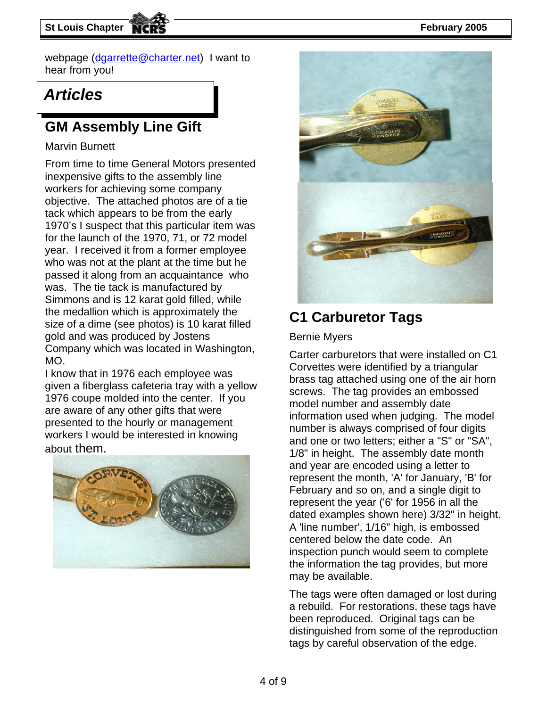**St Louis Chapter February 2005** 

webpage [\(dgarrette@charter.net\)](mailto:dgarrette@charter.net) I want to hear from you!

### *Articles*

### **GM Assembly Line Gift**

#### Marvin Burnett

From time to time General Motors presented inexpensive gifts to the assembly line objective. The attached photos are of a tie tack which appears to be from the early for the launch of the 1970, 71, or 72 model the medallion which is approximately the workers for achieving some company 1970's I suspect that this particular item was year. I received it from a former employee who was not at the plant at the time but he passed it along from an acquaintance who was. The tie tack is manufactured by Simmons and is 12 karat gold filled, while size of a dime (see photos) is 10 karat filled gold and was produced by Jostens Company which was located in Washington, MO.

given a fiberglass cafeteria tray with a yellow 1976 coupe molded into the center. If you workers I would be interested in knowing I know that in 1976 each employee was are aware of any other gifts that were presented to the hourly or management about them.





### **C1 Carburetor Tags**

#### Bernie Myers

Carter carburetors that were installed on C1 Corvettes were identified by a triangular brass tag attached using one of the air horn screws. The tag provides an embossed model number and assembly date information used when judging. The model number is always comprised of four digits and one or two letters; either a "S" or "SA", 1/8" in height. The assembly date month and year are encoded using a letter to represent the month, 'A' for January, 'B' for February and so on, and a single digit to represent the year ('6' for 1956 in all the dated examples shown here) 3/32" in height. A 'line number', 1/16" high, is embossed centered below the date code. An inspection punch would seem to complete the information the tag provides, but more may be available.

The tags were often damaged or lost during a rebuild. For restorations, these tags have been reproduced. Original tags can be distinguished from some of the reproduction tags by careful observation of the edge.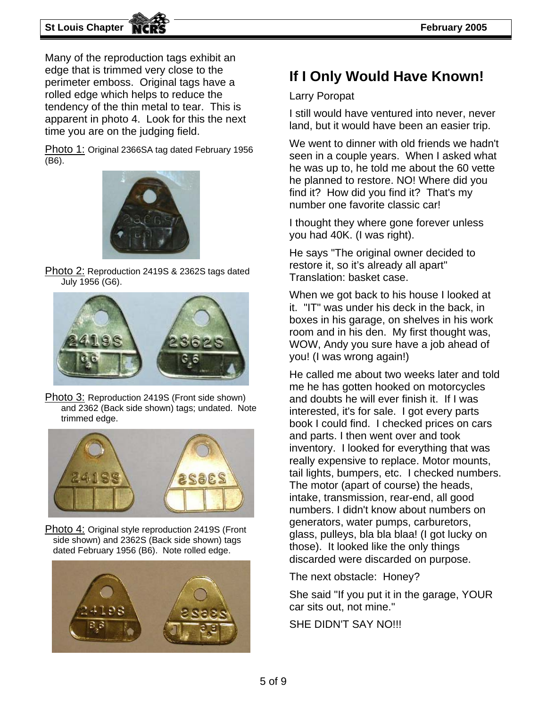**St Louis Chapter February 2005** 

Many of the reproduction tags exhibit an edge that is trimmed very close to the perimeter emboss. Original tags have a rolled edge which helps to reduce the tendency of the thin metal to tear. This is apparent in photo 4. Look for this the next time you are on the judging field.

Photo 1: Original 2366SA tag dated February 1956 (B6).



Photo 2: Reproduction 2419S & 2362S tags dated July 1956 (G6).



Photo 3: Reproduction 2419S (Front side shown) and 2362 (Back side shown) tags; undated. Note trimmed edge.



Photo 4: Original style reproduction 2419S (Front side shown) and 2362S (Back side shown) tags dated February 1956 (B6). Note rolled edge.



### **If I Only Would Have Known!**

#### Larry Poropat

I still would have ventured into never, never land, but it would have been an easier trip.

We went to dinner with old friends we hadn't seen in a couple years. When I asked what he was up to, he told me about the 60 vette he planned to restore. NO! Where did you find it? How did you find it? That's my number one favorite classic car!

I thought they where gone forever unless you had 40K. (I was right).

He says "The original owner decided to restore it, so it's already all apart" Translation: basket case.

When we got back to his house I looked at it. "IT" was under his deck in the back, in boxes in his garage, on shelves in his work room and in his den. My first thought was, WOW, Andy you sure have a job ahead of you! (I was wrong again!)

He called me about two weeks later and told me he has gotten hooked on motorcycles and doubts he will ever finish it. If I was interested, it's for sale. I got every parts book I could find. I checked prices on cars and parts. I then went over and took inventory. I looked for everything that was really expensive to replace. Motor mounts, tail lights, bumpers, etc. I checked numbers. The motor (apart of course) the heads, intake, transmission, rear-end, all good numbers. I didn't know about numbers on generators, water pumps, carburetors, glass, pulleys, bla bla blaa! (I got lucky on those). It looked like the only things discarded were discarded on purpose.

The next obstacle: Honey?

She said "If you put it in the garage, YOUR car sits out, not mine."

SHE DIDN'T SAY NO!!!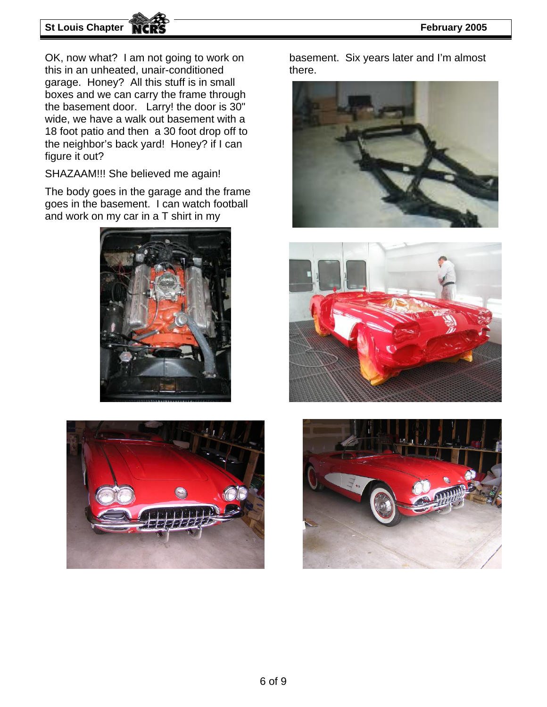#### **St Louis Chapter NCRS February 2005**

OK, now what? I am not going to work on this in an unheated, unair-conditioned garage. Honey? All this stuff is in small boxes and we can carry the frame through the basement door. Larry! the door is 30" wide, we have a walk out basement with a 18 foot patio and then a 30 foot drop off to the neighbor's back yard! Honey? if I can figure it out?

SHAZAAM!!! She believed me again!

The body goes in the garage and the frame goes in the basement. I can watch football and work on my car in a T shirt in my





basement. Six years later and I'm almost there.





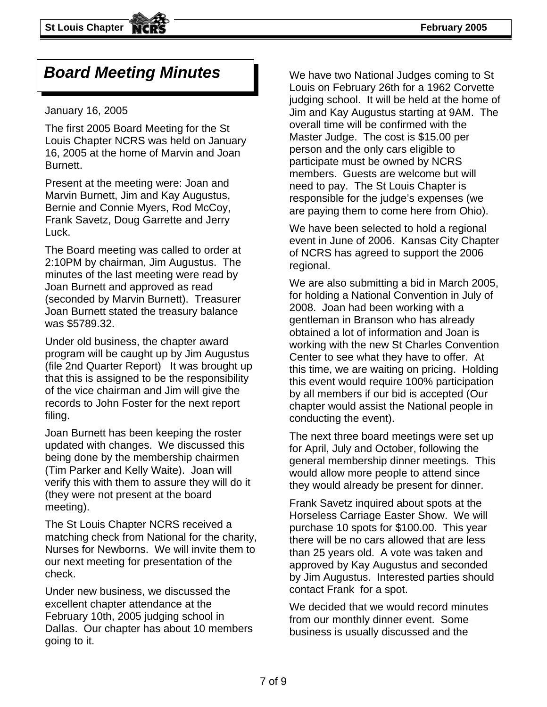### *Board Meeting Minutes*

#### January 16, 2005

The first 2005 Board Meeting for the St Louis Chapter NCRS was held on January 16, 2005 at the home of Marvin and Joan Burnett.

Present at the meeting were: Joan and Marvin Burnett, Jim and Kay Augustus, Bernie and Connie Myers, Rod McCoy, Frank Savetz, Doug Garrette and Jerry Luck.

The Board meeting was called to order at 2:10PM by chairman, Jim Augustus. The minutes of the last meeting were read by Joan Burnett and approved as read (seconded by Marvin Burnett). Treasurer Joan Burnett stated the treasury balance was \$5789.32.

Under old business, the chapter award program will be caught up by Jim Augustus (file 2nd Quarter Report) It was brought up that this is assigned to be the responsibility of the vice chairman and Jim will give the records to John Foster for the next report filing.

Joan Burnett has been keeping the roster updated with changes. We discussed this being done by the membership chairmen (Tim Parker and Kelly Waite). Joan will verify this with them to assure they will do it (they were not present at the board meeting).

The St Louis Chapter NCRS received a matching check from National for the charity, Nurses for Newborns. We will invite them to our next meeting for presentation of the check.

Under new business, we discussed the excellent chapter attendance at the February 10th, 2005 judging school in Dallas. Our chapter has about 10 members going to it.

We have two National Judges coming to St Louis on February 26th for a 1962 Corvette judging school. It will be held at the home of Jim and Kay Augustus starting at 9AM. The overall time will be confirmed with the Master Judge. The cost is \$15.00 per person and the only cars eligible to participate must be owned by NCRS members. Guests are welcome but will need to pay. The St Louis Chapter is responsible for the judge's expenses (we are paying them to come here from Ohio).

We have been selected to hold a regional event in June of 2006. Kansas City Chapter of NCRS has agreed to support the 2006 regional.

We are also submitting a bid in March 2005, for holding a National Convention in July of 2008. Joan had been working with a gentleman in Branson who has already obtained a lot of information and Joan is working with the new St Charles Convention Center to see what they have to offer. At this time, we are waiting on pricing. Holding this event would require 100% participation by all members if our bid is accepted (Our chapter would assist the National people in conducting the event).

The next three board meetings were set up for April, July and October, following the general membership dinner meetings. This would allow more people to attend since they would already be present for dinner.

Frank Savetz inquired about spots at the Horseless Carriage Easter Show. We will purchase 10 spots for \$100.00. This year there will be no cars allowed that are less than 25 years old. A vote was taken and approved by Kay Augustus and seconded by Jim Augustus. Interested parties should contact Frank for a spot.

We decided that we would record minutes from our monthly dinner event. Some business is usually discussed and the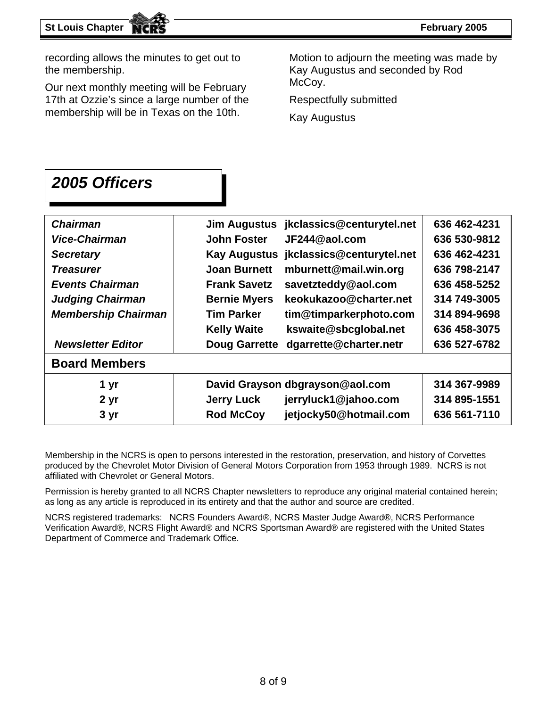recording allows the minutes to get out to the membership.

McCoy. Our next monthly meeting will be February 17th at Ozzie's since a large number of the membership will be in Texas on the 10th.

Motion to adjourn the meeting was made by Kay Augustus and seconded by Rod

Respectfully submitted

Kay Augustus

### *2005 Officers*

| jkclassics@centurytel.net<br>636 462-4231<br><b>Jim Augustus</b> |
|------------------------------------------------------------------|
| JF244@aol.com<br><b>John Foster</b><br>636 530-9812              |
| jkclassics@centurytel.net<br><b>Kay Augustus</b><br>636 462-4231 |
| mburnett@mail.win.org<br><b>Joan Burnett</b><br>636 798-2147     |
| <b>Frank Savetz</b><br>savetzteddy@aol.com<br>636 458-5252       |
| <b>Bernie Myers</b><br>keokukazoo@charter.net<br>314 749-3005    |
| <b>Tim Parker</b><br>tim@timparkerphoto.com<br>314 894-9698      |
| kswaite@sbcglobal.net<br><b>Kelly Waite</b><br>636 458-3075      |
| dgarrette@charter.netr<br><b>Doug Garrette</b><br>636 527-6782   |
|                                                                  |
| 314 367-9989<br>David Grayson dbgrayson@aol.com                  |
| jerryluck1@jahoo.com<br><b>Jerry Luck</b><br>314 895-1551        |
| <b>Rod McCoy</b><br>jetjocky50@hotmail.com<br>636 561-7110       |
|                                                                  |

Membership in the NCRS is open to persons interested in the restoration, preservation, and history of Corvettes produced by the Chevrolet Motor Division of General Motors Corporation from 1953 through 1989. NCRS is not affiliated with Chevrolet or General Motors.

Permission is hereby granted to all NCRS Chapter newsletters to reproduce any original material contained herein; as long as any article is reproduced in its entirety and that the author and source are credited.

NCRS registered trademarks: NCRS Founders Award®, NCRS Master Judge Award®, NCRS Performance Verification Award®, NCRS Flight Award® and NCRS Sportsman Award® are registered with the United States Department of Commerce and Trademark Office.